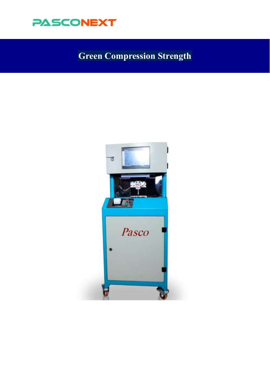

# **Green Compression Strength**

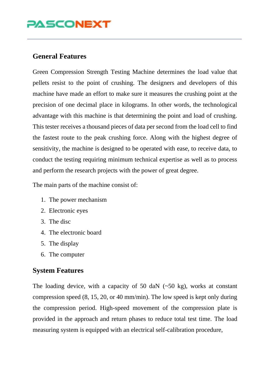#### **General Features**

Green Compression Strength Testing Machine determines the load value that pellets resist to the point of crushing. The designers and developers of this machine have made an effort to make sure it measures the crushing point at the precision of one decimal place in kilograms. In other words, the technological advantage with this machine is that determining the point and load of crushing. This tester receives a thousand pieces of data per second from the load cell to find the fastest route to the peak crushing force. Along with the highest degree of sensitivity, the machine is designed to be operated with ease, to receive data, to conduct the testing requiring minimum technical expertise as well as to process and perform the research projects with the power of great degree.

The main parts of the machine consist of:

- 1. The power mechanism
- 2. Electronic eyes
- 3. The disc
- 4. The electronic board
- 5. The display
- 6. The computer

#### **System Features**

The loading device, with a capacity of 50 daN  $(-50 \text{ kg})$ , works at constant compression speed (8, 15, 20, or 40 mm/min). The low speed is kept only during the compression period. High-speed movement of the compression plate is provided in the approach and return phases to reduce total test time. The load measuring system is equipped with an electrical self-calibration procedure,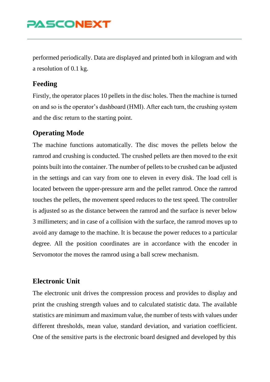performed periodically. Data are displayed and printed both in kilogram and with a resolution of 0.1 kg.

#### **Feeding**

Firstly, the operator places 10 pellets in the disc holes. Then the machine is turned on and so is the operator's dashboard (HMI). After each turn, the crushing system and the disc return to the starting point.

#### **Operating Mode**

The machine functions automatically. The disc moves the pellets below the ramrod and crushing is conducted. The crushed pellets are then moved to the exit points built into the container. The number of pellets to be crushed can be adjusted in the settings and can vary from one to eleven in every disk. The load cell is located between the upper-pressure arm and the pellet ramrod. Once the ramrod touches the pellets, the movement speed reduces to the test speed. The controller is adjusted so as the distance between the ramrod and the surface is never below 3 millimeters; and in case of a collision with the surface, the ramrod moves up to avoid any damage to the machine. It is because the power reduces to a particular degree. All the position coordinates are in accordance with the encoder in Servomotor the moves the ramrod using a ball screw mechanism.

#### **Electronic Unit**

The electronic unit drives the compression process and provides to display and print the crushing strength values and to calculated statistic data. The available statistics are minimum and maximum value, the number of tests with values under different thresholds, mean value, standard deviation, and variation coefficient. One of the sensitive parts is the electronic board designed and developed by this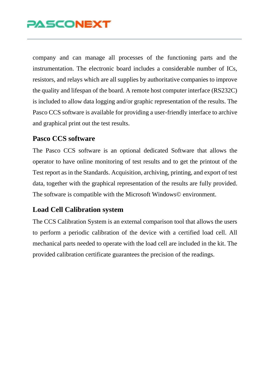company and can manage all processes of the functioning parts and the instrumentation. The electronic board includes a considerable number of ICs, resistors, and relays which are all supplies by authoritative companies to improve the quality and lifespan of the board. A remote host computer interface (RS232C) is included to allow data logging and/or graphic representation of the results. The Pasco CCS software is available for providing a user-friendly interface to archive and graphical print out the test results.

#### **Pasco CCS software**

The Pasco CCS software is an optional dedicated Software that allows the operator to have online monitoring of test results and to get the printout of the Test report as in the Standards. Acquisition, archiving, printing, and export of test data, together with the graphical representation of the results are fully provided. The software is compatible with the Microsoft Windows© environment.

#### **Load Cell Calibration system**

The CCS Calibration System is an external comparison tool that allows the users to perform a periodic calibration of the device with a certified load cell. All mechanical parts needed to operate with the load cell are included in the kit. The provided calibration certificate guarantees the precision of the readings.